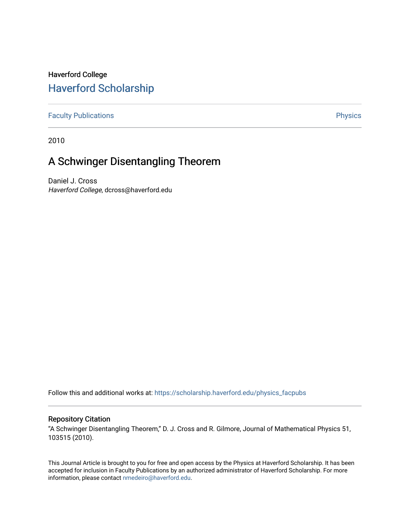## Haverford College [Haverford Scholarship](https://scholarship.haverford.edu/)

[Faculty Publications](https://scholarship.haverford.edu/physics_facpubs) **Physics** 

2010

## A Schwinger Disentangling Theorem

Daniel J. Cross Haverford College, dcross@haverford.edu

Follow this and additional works at: [https://scholarship.haverford.edu/physics\\_facpubs](https://scholarship.haverford.edu/physics_facpubs?utm_source=scholarship.haverford.edu%2Fphysics_facpubs%2F333&utm_medium=PDF&utm_campaign=PDFCoverPages) 

## Repository Citation

"A Schwinger Disentangling Theorem," D. J. Cross and R. Gilmore, Journal of Mathematical Physics 51, 103515 (2010).

This Journal Article is brought to you for free and open access by the Physics at Haverford Scholarship. It has been accepted for inclusion in Faculty Publications by an authorized administrator of Haverford Scholarship. For more information, please contact [nmedeiro@haverford.edu.](mailto:nmedeiro@haverford.edu)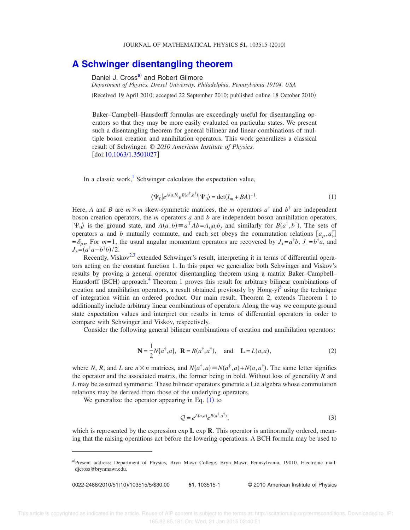## **[A Schwinger disentangling theorem](http://dx.doi.org/10.1063/1.3501027)**

D[a](#page-1-0)niel J. Cross<sup>a)</sup> and Robert Gilmore

*Department of Physics, Drexel University, Philadelphia, Pennsylvania 19104, USA*

(Received 19 April 2010; accepted 22 September 2010; published online 18 October 2010)

Baker–Campbell–Hausdorff formulas are exceedingly useful for disentangling operators so that they may be more easily evaluated on particular states. We present such a disentangling theorem for general bilinear and linear combinations of multiple boson creation and annihilation operators. This work generalizes a classical result of Schwinger. © *2010 American Institute of Physics.* doi[:10.1063/1.3501027](http://dx.doi.org/10.1063/1.3501027)

In a classic work,<sup>[1](#page-5-0)</sup> Schwinger calculates the expectation value,

$$
\langle \Psi_0 | e^{A(a,b)} e^{B(a^\dagger, b^\dagger)} | \Psi_0 \rangle = \det(I_m + BA)^{-1}.
$$
 (1)

<span id="page-1-1"></span>Here, *A* and *B* are  $m \times m$  skew-symmetric matrices, the *m* operators  $a^{\dagger}$  and  $b^{\dagger}$  are independent boson creation operators, the *m* operators *a* and *b* are independent boson annihilation operators,  $|\Psi_0\rangle$  is the ground state, and  $A(a,b) \equiv a^\top Ab = A_{ij}a_ib_j$  and similarly for  $B(a^\dagger, b^\dagger)$ . The sets of operators *a* and *b* mutually commute, and each set obeys the commutation relations  $[a_\mu, a_\nu^\dagger]$  $=\delta_{\mu\nu}$ . For *m*=1, the usual angular momentum operators are recovered by *J*<sub>+</sub>= $a^{\dagger}b$ , *J*<sub>−</sub>= $b^{\dagger}a$ , and  $J_3 = (a^{\dagger}a - b^{\dagger}b)/2.$ 

Recently, Viskov<sup>[2,](#page-5-1)[3](#page-5-2)</sup> extended Schwinger's result, interpreting it in terms of differential operators acting on the constant function 1. In this paper we generalize both Schwinger and Viskov's results by proving a general operator disentangling theorem using a matrix Baker–Campbell– Hausdorff (BCH) approach.<sup>[4](#page-5-3)</sup> Theorem 1 proves this result for arbitrary bilinear combinations of creation and annihilation operators, a result obtained previously by Hong-yi<sup>[5](#page-5-4)</sup> using the technique of integration within an ordered product. Our main result, Theorem 2, extends Theorem 1 to additionally include arbitrary linear combinations of operators. Along the way we compute ground state expectation values and interpret our results in terms of differential operators in order to compare with Schwinger and Viskov, respectively.

Consider the following general bilinear combinations of creation and annihilation operators:

$$
\mathbf{N} = \frac{1}{2} N \{a^{\dagger}, a\}, \quad \mathbf{R} = R(a^{\dagger}, a^{\dagger}), \quad \text{and} \quad \mathbf{L} = L(a, a), \tag{2}
$$

<span id="page-1-2"></span>where *N*, *R*, and *L* are  $n \times n$  matrices, and  $N\{a^{\dagger}, a\} \equiv N(a^{\dagger}, a) + N(a, a^{\dagger})$ . The same letter signifies the operator and the associated matrix, the former being in bold. Without loss of generality *R* and *L* may be assumed symmetric. These bilinear operators generate a Lie algebra whose commutation relations may be derived from those of the underlying operators.

We generalize the operator appearing in Eq.  $(1)$  $(1)$  $(1)$  to

$$
Q = e^{L(a,a)} e^{R(a^\dagger, a^\dagger)}, \tag{3}
$$

which is represented by the expression exp **L** exp **R**. This operator is antinormally ordered, meaning that the raising operations act before the lowering operations. A BCH formula may be used to

0022-2488/2010/51(10)/103515/5/\$30.00

/103515/5/\$30.00 © 2010 American Institute of Physics **51**, 103515-1

<span id="page-1-0"></span>a)Present address: Department of Physics, Bryn Mawr College, Bryn Mawr, Pennsylvania, 19010. Electronic mail: djcross@brynmawr.edu.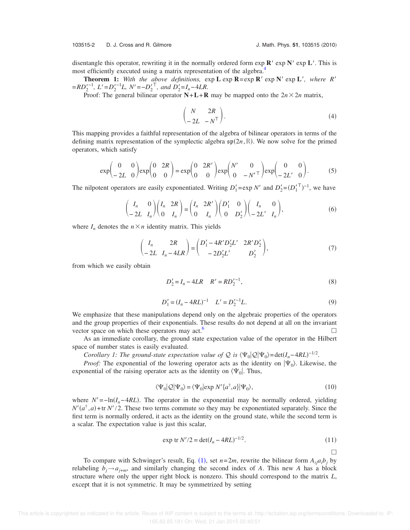103515-2 D. J. Cross and R. Gilmore J. Math. Phys. **51**, 103515 2010-

disentangle this operator, rewriting it in the normally ordered form  $\exp R' \exp N' \exp L'$ . This is most efficiently executed using a matrix representation of the algebra.<sup>[4](#page-5-3)</sup>

**Theorem 1:** With the above definitions,  $\exp L \exp R = \exp R' \exp N' \exp L'$ , where R'  $= RD_2'^{-1}$ ,  $L' = D_2'^{-1}L$ ,  $N' = -D_2'^{\top}$ , and  $D_2' = I_n - 4LR$ .

Proof: The general bilinear operator  $N + L + R$  may be mapped onto the  $2n \times 2n$  matrix,

$$
\begin{pmatrix} N & 2R \\ -2L & -N^{\mathsf{T}} \end{pmatrix}.
$$
 (4)

This mapping provides a faithful representation of the algebra of bilinear operators in terms of the defining matrix representation of the symplectic algebra  $\mathfrak{sp}(2n,\mathbb{R})$ . We now solve for the primed operators, which satisfy

$$
\exp\begin{pmatrix} 0 & 0 \\ -2L & 0 \end{pmatrix} \exp\begin{pmatrix} 0 & 2R \\ 0 & 0 \end{pmatrix} = \exp\begin{pmatrix} 0 & 2R' \\ 0 & 0 \end{pmatrix} \exp\begin{pmatrix} N' & 0 \\ 0 & -N' \end{pmatrix} \exp\begin{pmatrix} 0 & 0 \\ -2L' & 0 \end{pmatrix}.
$$
 (5)

The nilpotent operators are easily exponentiated. Writing  $D'_1 = \exp N'$  and  $D'_2 = (D'_1^T)^{-1}$ , we have

$$
\begin{pmatrix} I_n & 0 \\ -2L & I_n \end{pmatrix} \begin{pmatrix} I_n & 2R \\ 0 & I_n \end{pmatrix} = \begin{pmatrix} I_n & 2R' \\ 0 & I_n \end{pmatrix} \begin{pmatrix} D'_1 & 0 \\ 0 & D'_2 \end{pmatrix} \begin{pmatrix} I_n & 0 \\ -2L' & I_n \end{pmatrix},\tag{6}
$$

where  $I_n$  denotes the  $n \times n$  identity matrix. This yields

$$
\begin{pmatrix} I_n & 2R \\ -2L & I_n - 4LR \end{pmatrix} = \begin{pmatrix} D'_1 - 4R'D'_2L' & 2R'D'_2 \\ -2D'_2L' & D'_2 \end{pmatrix},
$$
(7)

<span id="page-2-0"></span>from which we easily obtain

$$
D_2' = I_n - 4LR \t R' = R D_2'^{-1}, \t (8)
$$

$$
D_1' = (I_n - 4RL)^{-1} \quad L' = D_2'^{-1}L. \tag{9}
$$

<span id="page-2-1"></span>We emphasize that these manipulations depend only on the algebraic properties of the operators and the group properties of their exponentials. These results do not depend at all on the invariant vector space on which these operators may act. $\circ$ 

As an immediate corollary, the ground state expectation value of the operator in the Hilbert space of number states is easily evaluated.

*Corollary 1: The ground-state expectation value of*  $\mathcal Q$  *is*  $\langle \Psi_0 | \mathcal Q | \Psi_0 \rangle = det(I_n - 4RL)^{-1/2}$ *.* 

*Proof:* The exponential of the lowering operator acts as the identity on  $|\Psi_0\rangle$ . Likewise, the exponential of the raising operator acts as the identity on  $\langle \Psi_0 |$ . Thus,

$$
\langle \Psi_0 | \mathcal{Q} | \Psi_0 \rangle = \langle \Psi_0 | \exp N' \{ a^\dagger, a \} | \Psi_0 \rangle, \tag{10}
$$

where  $N' = -\ln(I_n - 4RL)$ . The operator in the exponential may be normally ordered, yielding  $N'(a^{\dagger}, a)$ +tr  $N'/2$ . These two terms commute so they may be exponentiated separately. Since the first term is normally ordered, it acts as the identity on the ground state, while the second term is a scalar. The expectation value is just this scalar,

$$
\exp \text{ tr } N'/2 = \det(I_n - 4RL)^{-1/2}.
$$
 (11)

 $\Box$ 

To compare with Schwinger's result, Eq. ([1](#page-1-1)), set  $n=2m$ , rewrite the bilinear form  $A_{ij}a_ib_j$  by relabeling  $b_j \rightarrow a_{j+m}$ , and similarly changing the second index of *A*. This new *A* has a block structure where only the upper right block is nonzero. This should correspond to the matrix *L*, except that it is not symmetric. It may be symmetrized by setting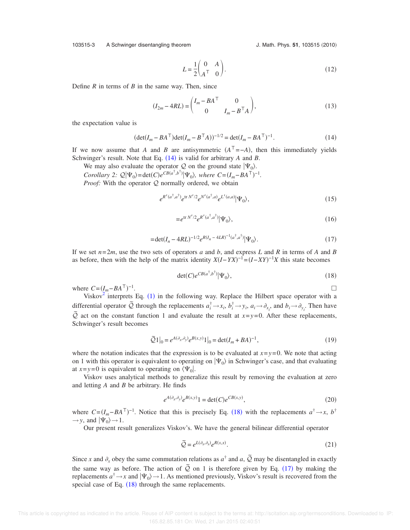103515-3 A Schwinger disentangling theorem

J. Math. Phys. 51, 103515 (2010)

$$
L = \frac{1}{2} \begin{pmatrix} 0 & A \\ A^{\top} & 0 \end{pmatrix} . \tag{12}
$$

Define *R* in terms of *B* in the same way. Then, since

$$
(I_{2m} - 4RL) = \begin{pmatrix} I_m - BA^\top & 0 \\ 0 & I_m - B^\top A \end{pmatrix},
$$
\n(13)

<span id="page-3-0"></span>the expectation value is

$$
(\det(I_m - BA^\top)\det(I_m - B^\top A))^{-1/2} = \det(I_m - BA^\top)^{-1}.
$$
 (14)

If we now assume that *A* and *B* are antisymmetric  $(A^T = -A)$ , then this immediately yields Schwinger's result. Note that Eq.  $(14)$  $(14)$  $(14)$  is valid for arbitrary *A* and *B*.

We may also evaluate the operator Q on the ground state  $|\Psi_0\rangle$ . *Corollary 2:*  $Q|\Psi_0\rangle = \det(C)e^{CB(a^{\dagger},b^{\dagger})}|\Psi_0\rangle$ , where  $C = (I_m - BA^{\dagger})^{-1}$ .

*Proof:* With the operator Q normally ordered, we obtain

$$
e^{R'(a^{\dagger},a^{\dagger})}e^{\text{tr }N'/2}e^{N'(a^{\dagger},a)}e^{L'(a,a)}|\Psi_0\rangle, \qquad (15)
$$

$$
=e^{\operatorname{tr} N'/2}e^{R'(a^{\dagger},a^{\dagger})}|\Psi_0\rangle,\tag{16}
$$

$$
= \det(I_n - 4RL)^{-1/2} e^{R(I_n - 4LR)^{-1}(a^\dagger, a^\dagger)} |\Psi_0\rangle.
$$
 (17)

<span id="page-3-2"></span>If we set  $n=2m$ , use the two sets of operators *a* and *b*, and express *L* and *R* in terms of *A* and *B* as before, then with the help of the matrix identity  $X(I - YX)^{-1} = (I - XY)^{-1}X$  this state becomes

$$
\det(C)e^{CB(a^\dagger, b^\dagger)}|\Psi_0\rangle,\tag{18}
$$

 $\Box$ 

<span id="page-3-1"></span>where  $C = (I_m - BA^{\top})^{-1}$ . The contract of the contract of the contract of  $\Box$ 

Viskov<sup>[2](#page-5-1)</sup> interprets Eq. ([1](#page-1-1)) in the following way. Replace the Hilbert space operator with a differential operator  $\tilde{Q}$  through the replacements  $a_i^{\dagger} \rightarrow x_i$ ,  $b_i^{\dagger} \rightarrow y_i$ ,  $a_i \rightarrow \partial_{x_i}$ , and  $b_i \rightarrow \partial_{y_i}$ . Then have  $\tilde{Q}$  act on the constant function 1 and evaluate the result at *x*=*y*=0. After these replacements, Schwinger's result becomes

$$
\tilde{Q}1\big|_{0} = e^{A(\partial_{x}, \partial_{y})} e^{B(x, y)} 1\big|_{0} = \det(I_m + BA)^{-1},
$$
\n(19)

where the notation indicates that the expression is to be evaluated at  $x=y=0$ . We note that acting on 1 with this operator is equivalent to operating on  $|\Psi_0\rangle$  in Schwinger's case, and that evaluating at  $x=y=0$  is equivalent to operating on  $\langle \Psi_0 |$ .

Viskov uses analytical methods to generalize this result by removing the evaluation at zero and letting *A* and *B* be arbitrary. He finds

$$
e^{A(\partial_x, \partial_y)} e^{B(x,y)} = \det(C) e^{CB(x,y)}, \tag{20}
$$

<span id="page-3-3"></span>where  $C = (I_m - BA^\top)^{-1}$ . Notice that this is precisely Eq. ([18](#page-3-1)) with the replacements  $a^\dagger \rightarrow x$ ,  $b^\dagger$  $\rightarrow$  *y*, and  $|\Psi_0\rangle$   $\rightarrow$  1.

Our present result generalizes Viskov's. We have the general bilinear differential operator

$$
\widetilde{Q} = e^{L(\partial_x, \partial_x)} e^{R(x, x)}.
$$
\n(21)

Since *x* and  $\partial_x$  obey the same commutation relations as  $a^{\dagger}$  and  $a, \tilde{Q}$  may be disentangled in exactly the same way as before. The action of  $\tilde{Q}$  on 1 is therefore given by Eq. ([17](#page-3-2)) by making the replacements  $a^{\dagger} \rightarrow x$  and  $|\Psi_0\rangle \rightarrow 1$ . As mentioned previously, Viskov's result is recovered from the special case of Eq.  $(18)$  $(18)$  $(18)$  through the same replacements.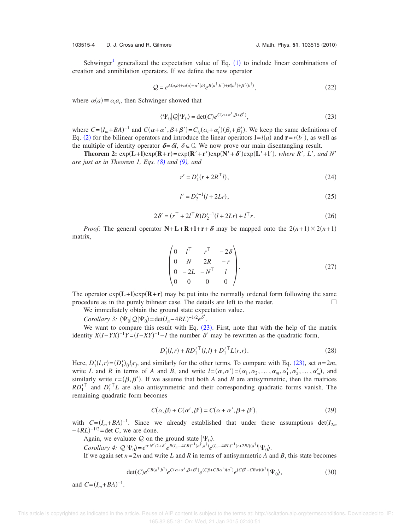103515-4 D. J. Cross and R. Gilmore J. Math. Phys. **51**, 103515 2010-

Schwinger<sup>[1](#page-1-1)</sup> generalized the expectation value of Eq.  $(1)$  to include linear combinations of creation and annihilation operators. If we define the new operator

$$
Q = e^{A(a,b) + \alpha(a) + \alpha'(b)} e^{B(a^{\dagger},b^{\dagger}) + \beta(a^{\dagger}) + \beta'(b^{\dagger})},
$$
\n(22)

<span id="page-4-0"></span>where  $\alpha(a) \equiv \alpha_i a_i$ , then Schwinger showed that

$$
\langle \Psi_0 | \mathcal{Q} | \Psi_0 \rangle = \det(C) e^{C(\alpha + \alpha', \beta + \beta')}, \tag{23}
$$

where  $C = (I_m + BA)^{-1}$  and  $C(\alpha + \alpha', \beta + \beta') = C_{ij}(\alpha_i + \alpha'_i)(\beta_j + \beta'_j)$ . We keep the same definitions of Eq. ([2](#page-1-2)) for the bilinear operators and introduce the linear operators  $\mathbf{l} = l(a)$  and  $\mathbf{r} = r(b^{\dagger})$ , as well as the multiple of identity operator  $\delta = \delta I$ ,  $\delta \in \mathbb{C}$ . We now prove our main disentangling result.

**Theorem 2:**  $exp(\mathbf{L}+\mathbf{I})exp(\mathbf{R}+\mathbf{r})=exp(\mathbf{R}'+\mathbf{r}')exp(\mathbf{N}'+\delta')exp(\mathbf{L}'+\mathbf{I}'),$  where  $R', L',$  and  $N'$ *are just as in Theorem 1, Eqs. [\(8\)](#page-2-0) and [\(9\),](#page-2-1) and*

$$
r' = D'_1(r + 2R^{\top}l),
$$
\n(24)

$$
l' = D_2'^{-1}(l + 2Lr),\tag{25}
$$

$$
2\delta' = (r^{\top} + 2l^{\top}R)D_2'^{-1}(l + 2Lr) + l^{\top}r.
$$
 (26)

<span id="page-4-1"></span>*Proof:* The general operator  $N + L + R + l + r + \delta$  may be mapped onto the  $2(n+1) \times 2(n+1)$ matrix,

$$
\begin{pmatrix}\n0 & l^{T} & r^{T} & -2\delta \\
0 & N & 2R & -r \\
0 & -2L & -N^{T} & l \\
0 & 0 & 0 & 0\n\end{pmatrix}.
$$
\n(27)

The operator  $exp(L+1)exp(R+r)$  may be put into the normally ordered form following the same procedure as in the purely bilinear case. The details are left to the reader.  $\Box$ 

We immediately obtain the ground state expectation value.

*Corollary 3:*  $\langle \Psi_0 | \mathcal{Q} | \Psi_0 \rangle = \det(I_n - 4RL)^{-1/2} e^{\delta'}$ .

We want to compare this result with Eq.  $(23)$  $(23)$  $(23)$ . First, note that with the help of the matrix identity  $X(I - YX)^{-1}Y = (I - XY)^{-1} - I$  the number  $\delta'$  may be rewritten as the quadratic form,

$$
D_1'(l,r) + RD_1'^{\top}(l,l) + D_1'^{\top}L(r,r).
$$
 (28)

Here,  $D'_1(l,r) = (D'_1)_{ij}l_ir_j$ , and similarly for the other terms. To compare with Eq. ([23](#page-4-0)), set  $n=2m$ , write L and R in terms of A and B, and write  $l = (\alpha, \alpha') = (\alpha_1, \alpha_2, \dots, \alpha_m, \alpha_1', \alpha_2', \dots, \alpha_m')$ , and similarly write  $r = (\beta, \beta')$ . If we assume that both *A* and *B* are antisymmetric, then the matrices  $RD_1^{\prime \top}$  and  $D_1^{\prime \top}L$  are also antisymmetric and their corresponding quadratic forms vanish. The remaining quadratic form becomes

$$
C(\alpha, \beta) + C(\alpha', \beta') = C(\alpha + \alpha', \beta + \beta'),
$$
\n(29)

with  $C = (I_m + BA)^{-1}$ . Since we already established that under these assumptions  $det(I_{2m})$  $-4RL$ <sup> $-1/2$ </sup> = det *C*, we are done.

Again, we evaluate Q on the ground state  $|\Psi_0\rangle$ .

 $Corollary 4: \mathcal{Q}|\Psi_0\rangle = e^{\text{tr }N'/2+\delta'}e^{R(I_n-4LR)^{-1}(a^{\dagger},a^{\dagger})}e^{(I_n-4RL)^{-1}(r+2RI)(a^{\dagger})}|\Psi_0\rangle.$ 

If we again set  $n=2m$  and write L and R in terms of antisymmetric A and B, this state becomes

$$
\det(C)e^{CB(a^{\dagger},b^{\dagger})}e^{C(\alpha+\alpha',\beta+\beta')}e^{(C\beta+CB\alpha')(a^{\dagger})}e^{(C\beta'-CB\alpha)(b^{\dagger})}|\Psi_0\rangle,\tag{30}
$$

and  $C = (I_m + BA)^{-1}$ .